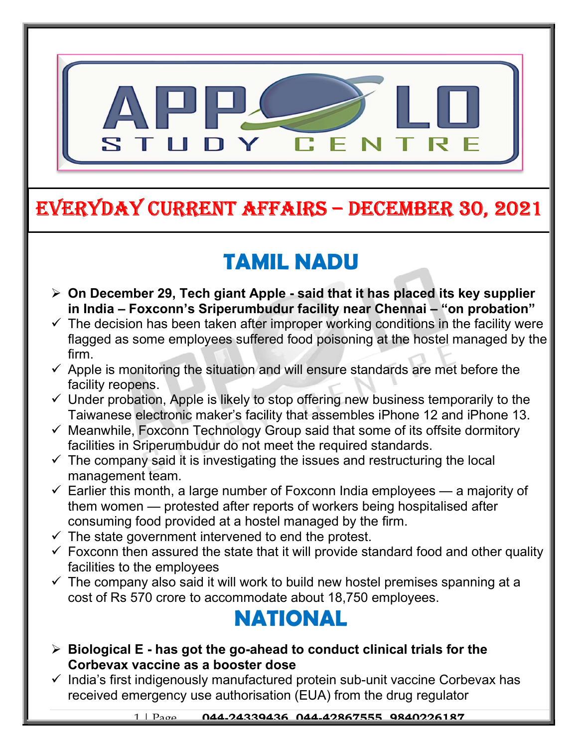

## EVERYDAY CURRENT AFFAIRS – DECEMBER 30, 2021

# TAMIL NADU

- $\triangleright$  On December 29, Tech giant Apple said that it has placed its key supplier in India – Foxconn's Sriperumbudur facility near Chennai – "on probation"
- $\checkmark$  The decision has been taken after improper working conditions in the facility were flagged as some employees suffered food poisoning at the hostel managed by the firm.
- $\checkmark$  Apple is monitoring the situation and will ensure standards are met before the facility reopens.
- $\checkmark$  Under probation, Apple is likely to stop offering new business temporarily to the Taiwanese electronic maker's facility that assembles iPhone 12 and iPhone 13.
- $\checkmark$  Meanwhile, Foxconn Technology Group said that some of its offsite dormitory facilities in Sriperumbudur do not meet the required standards.
- $\checkmark$  The company said it is investigating the issues and restructuring the local management team.
- $\checkmark$  Earlier this month, a large number of Foxconn India employees a majority of them women — protested after reports of workers being hospitalised after consuming food provided at a hostel managed by the firm.
- $\checkmark$  The state government intervened to end the protest.

-

- $\checkmark$  Foxconn then assured the state that it will provide standard food and other quality facilities to the employees
- $\checkmark$  The company also said it will work to build new hostel premises spanning at a cost of Rs 570 crore to accommodate about 18,750 employees.

#### NATIONAL

- $\triangleright$  Biological E has got the go-ahead to conduct clinical trials for the Corbevax vaccine as a booster dose
- $\checkmark$  India's first indigenously manufactured protein sub-unit vaccine Corbevax has received emergency use authorisation (EUA) from the drug regulator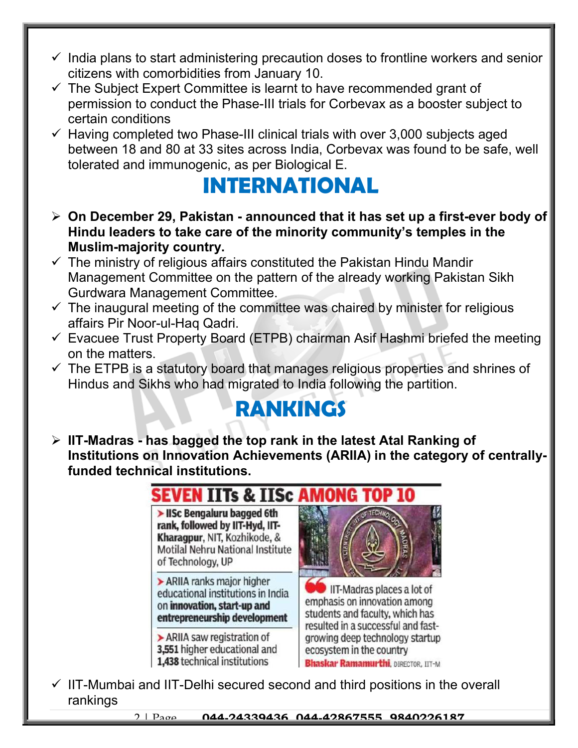- $\checkmark$  India plans to start administering precaution doses to frontline workers and senior citizens with comorbidities from January 10.
- $\checkmark$  The Subject Expert Committee is learnt to have recommended grant of permission to conduct the Phase-III trials for Corbevax as a booster subject to certain conditions
- $\checkmark$  Having completed two Phase-III clinical trials with over 3,000 subjects aged between 18 and 80 at 33 sites across India, Corbevax was found to be safe, well tolerated and immunogenic, as per Biological E.

## INTERNATIONAL

- $\triangleright$  On December 29, Pakistan announced that it has set up a first-ever body of Hindu leaders to take care of the minority community's temples in the Muslim-majority country.
- $\checkmark$  The ministry of religious affairs constituted the Pakistan Hindu Mandir Management Committee on the pattern of the already working Pakistan Sikh Gurdwara Management Committee.
- $\checkmark$  The inaugural meeting of the committee was chaired by minister for religious affairs Pir Noor-ul-Haq Qadri.
- $\checkmark$  Evacuee Trust Property Board (ETPB) chairman Asif Hashmi briefed the meeting on the matters.
- $\checkmark$  The ETPB is a statutory board that manages religious properties and shrines of Hindus and Sikhs who had migrated to India following the partition.

### RANKINGS

 $\triangleright$  IIT-Madras - has bagged the top rank in the latest Atal Ranking of Institutions on Innovation Achievements (ARIIA) in the category of centrallyfunded technical institutions.



 $\checkmark$  IIT-Mumbai and IIT-Delhi secured second and third positions in the overall rankings